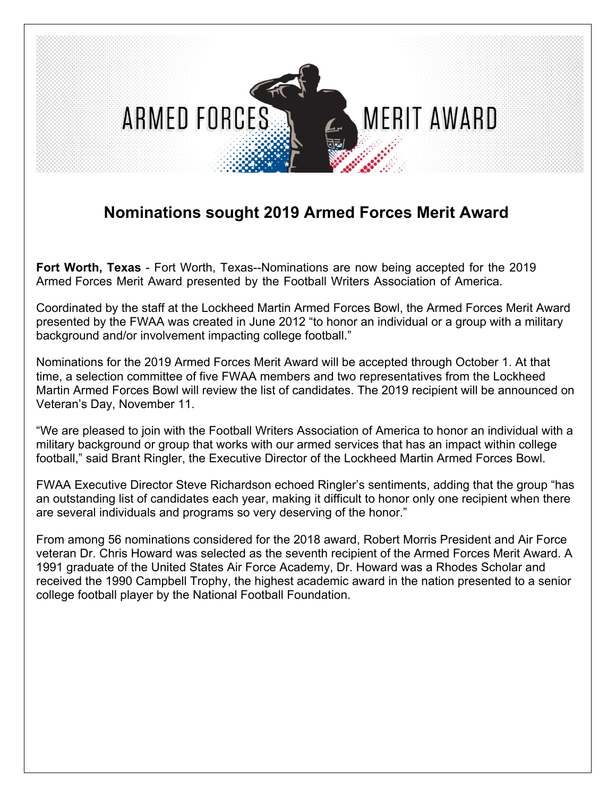

## **Nominations sought 2019 Armed Forces Merit Award**

**Fort Worth, Texas** - Fort Worth, Texas--Nominations are now being accepted for the 2019 Armed Forces Merit Award presented by the Football Writers Association of America.

Coordinated by the staff at the Lockheed Martin Armed Forces Bowl, the Armed Forces Merit Award presented by the FWAA was created in June 2012 "to honor an individual or a group with a military background and/or involvement impacting college football."

Nominations for the 2019 Armed Forces Merit Award will be accepted through October 1. At that time, a selection committee of five FWAA members and two representatives from the Lockheed Martin Armed Forces Bowl will review the list of candidates. The 2019 recipient will be announced on Veteran's Day, November 11.

"We are pleased to join with the Football Writers Association of America to honor an individual with a military background or group that works with our armed services that has an impact within college football," said Brant Ringler, the Executive Director of the Lockheed Martin Armed Forces Bowl.

FWAA Executive Director Steve Richardson echoed Ringler's sentiments, adding that the group "has an outstanding list of candidates each year, making it difficult to honor only one recipient when there are several individuals and programs so very deserving of the honor."

From among 56 nominations considered for the 2018 award, Robert Morris President and Air Force veteran Dr. Chris Howard was selected as the seventh recipient of the Armed Forces Merit Award. A 1991 graduate of the United States Air Force Academy, Dr. Howard was a Rhodes Scholar and received the 1990 Campbell Trophy, the highest academic award in the nation presented to a senior college football player by the National Football Foundation.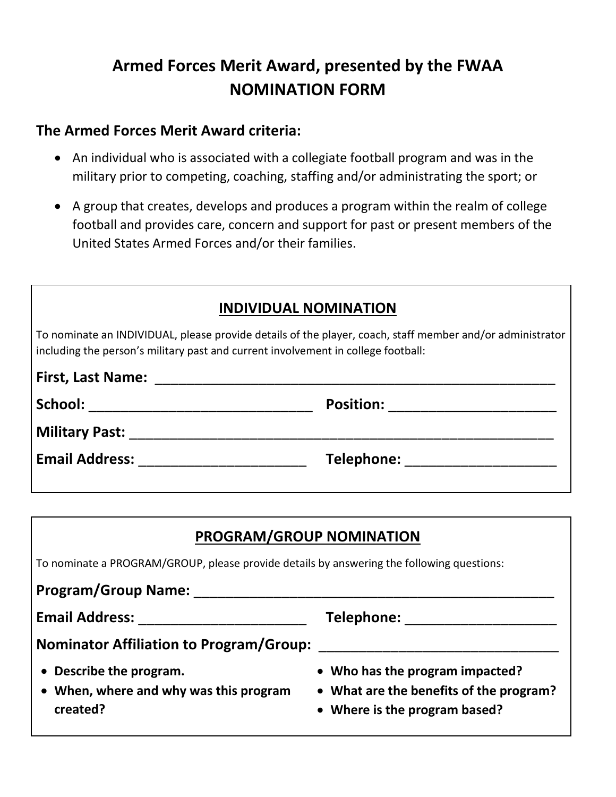## **Armed Forces Merit Award, presented by the FWAA NOMINATION FORM**

## **The Armed Forces Merit Award criteria:**

- An individual who is associated with a collegiate football program and was in the military prior to competing, coaching, staffing and/or administrating the sport; or
- A group that creates, develops and produces a program within the realm of college football and provides care, concern and support for past or present members of the United States Armed Forces and/or their families.

| <b>INDIVIDUAL NOMINATION</b>                                                                                                                                                                   |                               |  |
|------------------------------------------------------------------------------------------------------------------------------------------------------------------------------------------------|-------------------------------|--|
| To nominate an INDIVIDUAL, please provide details of the player, coach, staff member and/or administrator<br>including the person's military past and current involvement in college football: |                               |  |
| <b>First, Last Name:</b>                                                                                                                                                                       |                               |  |
|                                                                                                                                                                                                | Position: ___________________ |  |
| <b>Military Past:</b> Military Past:                                                                                                                                                           |                               |  |
| Email Address: <u>_______________</u>                                                                                                                                                          | Telephone: Telephone:         |  |

| <b>PROGRAM/GROUP NOMINATION</b>                                                                                                                                                                                                     |                                                                                                             |  |
|-------------------------------------------------------------------------------------------------------------------------------------------------------------------------------------------------------------------------------------|-------------------------------------------------------------------------------------------------------------|--|
| To nominate a PROGRAM/GROUP, please provide details by answering the following questions:                                                                                                                                           |                                                                                                             |  |
| <b>Program/Group Name:</b>                                                                                                                                                                                                          |                                                                                                             |  |
| <b>Email Address:</b> The Manuson of the Second Second Second Second Second Second Second Second Second Second Second Second Second Second Second Second Second Second Second Second Second Second Second Second Second Second Seco | <b>Telephone:</b> Telephone:                                                                                |  |
| <b>Nominator Affiliation to Program/Group:</b>                                                                                                                                                                                      |                                                                                                             |  |
| • Describe the program.<br>• When, where and why was this program<br>created?                                                                                                                                                       | • Who has the program impacted?<br>• What are the benefits of the program?<br>• Where is the program based? |  |